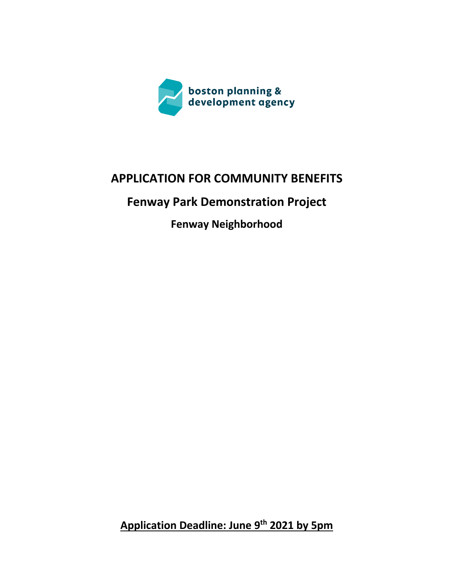

# **APPLICATION FOR COMMUNITY BENEFITS**

# **Fenway Park Demonstration Project**

**Fenway Neighborhood**

**Application Deadline: June 9th 2021 by 5pm**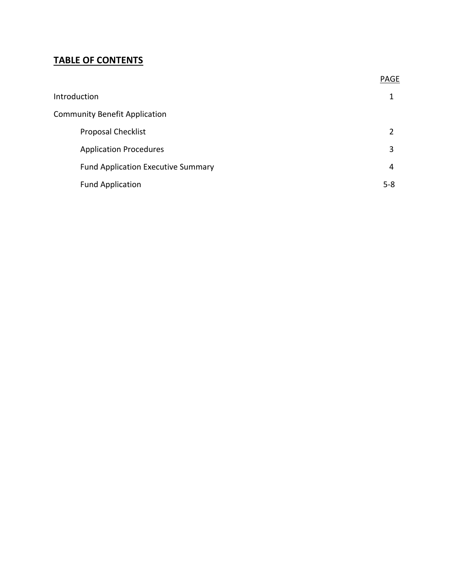## **TABLE OF CONTENTS**

|                                           | <b>PAGE</b> |
|-------------------------------------------|-------------|
| Introduction                              | 1           |
| <b>Community Benefit Application</b>      |             |
| <b>Proposal Checklist</b>                 | 2           |
| <b>Application Procedures</b>             | 3           |
| <b>Fund Application Executive Summary</b> | 4           |
| <b>Fund Application</b>                   | $5-8$       |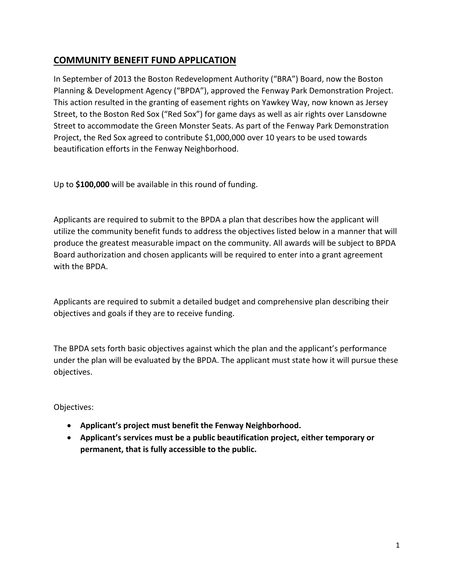### **COMMUNITY BENEFIT FUND APPLICATION**

In September of 2013 the Boston Redevelopment Authority ("BRA") Board, now the Boston Planning & Development Agency ("BPDA"), approved the Fenway Park Demonstration Project. This action resulted in the granting of easement rights on Yawkey Way, now known as Jersey Street, to the Boston Red Sox ("Red Sox") for game days as well as air rights over Lansdowne Street to accommodate the Green Monster Seats. As part of the Fenway Park Demonstration Project, the Red Sox agreed to contribute \$1,000,000 over 10 years to be used towards beautification efforts in the Fenway Neighborhood.

Up to **\$100,000** will be available in this round of funding.

Applicants are required to submit to the BPDA a plan that describes how the applicant will utilize the community benefit funds to address the objectives listed below in a manner that will produce the greatest measurable impact on the community. All awards will be subject to BPDA Board authorization and chosen applicants will be required to enter into a grant agreement with the BPDA.

Applicants are required to submit a detailed budget and comprehensive plan describing their objectives and goals if they are to receive funding.

The BPDA sets forth basic objectives against which the plan and the applicant's performance under the plan will be evaluated by the BPDA. The applicant must state how it will pursue these objectives.

Objectives:

- **Applicant's project must benefit the Fenway Neighborhood.**
- **Applicant's services must be a public beautification project, either temporary or permanent, that is fully accessible to the public.**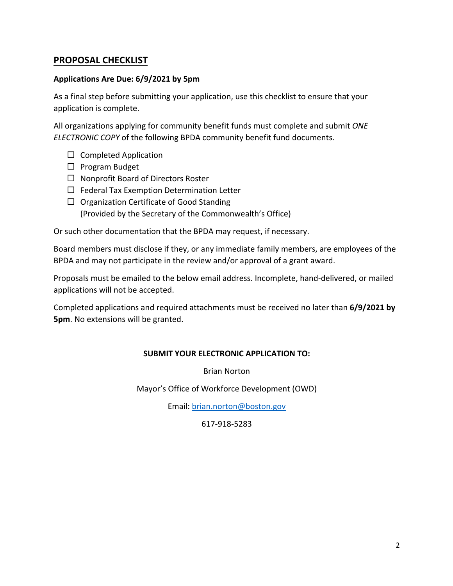#### **PROPOSAL CHECKLIST**

#### **Applications Are Due: 6/9/2021 by 5pm**

As a final step before submitting your application, use this checklist to ensure that your application is complete.

All organizations applying for community benefit funds must complete and submit *ONE ELECTRONIC COPY* of the following BPDA community benefit fund documents.

- $\Box$  Completed Application
- $\Box$  Program Budget
- $\Box$  Nonprofit Board of Directors Roster
- $\Box$  Federal Tax Exemption Determination Letter
- $\Box$  Organization Certificate of Good Standing (Provided by the Secretary of the Commonwealth's Office)

Or such other documentation that the BPDA may request, if necessary.

Board members must disclose if they, or any immediate family members, are employees of the BPDA and may not participate in the review and/or approval of a grant award.

Proposals must be emailed to the below email address. Incomplete, hand-delivered, or mailed applications will not be accepted.

Completed applications and required attachments must be received no later than **6/9/2021 by 5pm**. No extensions will be granted.

#### **SUBMIT YOUR ELECTRONIC APPLICATION TO:**

Brian Norton

Mayor's Office of Workforce Development (OWD)

Email: brian.norton@boston.gov

617-918-5283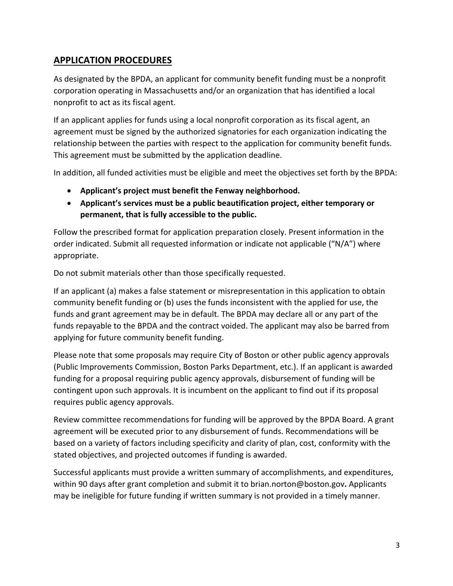### **APPLICATION PROCEDURES**

As designated by the BPDA, an applicant for community benefit funding must be a nonprofit corporation operating in Massachusetts and/or an organization that has identified a local nonprofit to act as its fiscal agent.

If an applicant applies for funds using a local nonprofit corporation as its fiscal agent, an agreement must be signed by the authorized signatories for each organization indicating the relationship between the parties with respect to the application for community benefit funds. This agreement must be submitted by the application deadline.

In addition, all funded activities must be eligible and meet the objectives set forth by the BPDA:

- **Applicant's project must benefit the Fenway neighborhood.**
- **Applicant's services must be a public beautification project, either temporary or permanent, that is fully accessible to the public.**

Follow the prescribed format for application preparation closely. Present information in the order indicated. Submit all requested information or indicate not applicable ("N/A") where appropriate.

Do not submit materials other than those specifically requested.

If an applicant (a) makes a false statement or misrepresentation in this application to obtain community benefit funding or (b) uses the funds inconsistent with the applied for use, the funds and grant agreement may be in default. The BPDA may declare all or any part of the funds repayable to the BPDA and the contract voided. The applicant may also be barred from applying for future community benefit funding.

Please note that some proposals may require City of Boston or other public agency approvals (Public Improvements Commission, Boston Parks Department, etc.). If an applicant is awarded funding for a proposal requiring public agency approvals, disbursement of funding will be contingent upon such approvals. It is incumbent on the applicant to find out if its proposal requires public agency approvals.

Review committee recommendations for funding will be approved by the BPDA Board. A grant agreement will be executed prior to any disbursement of funds. Recommendations will be based on a variety of factors including specificity and clarity of plan, cost, conformity with the stated objectives, and projected outcomes if funding is awarded.

Successful applicants must provide a written summary of accomplishments, and expenditures, within 90 days after grant completion and submit it to brian.norton@boston.gov**.** Applicants may be ineligible for future funding if written summary is not provided in a timely manner.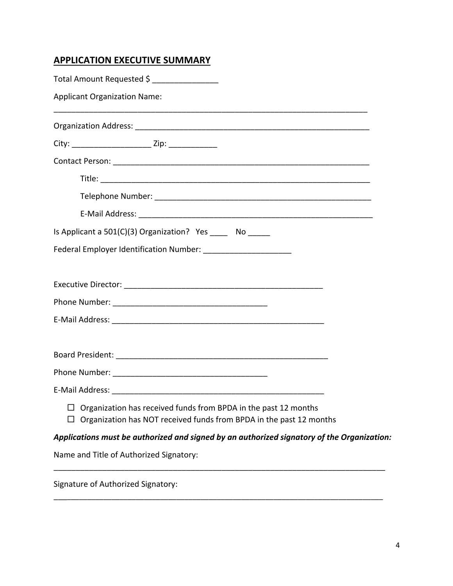## **APPLICATION EXECUTIVE SUMMARY**

| Total Amount Requested \$                                                                                                              |  |
|----------------------------------------------------------------------------------------------------------------------------------------|--|
| <b>Applicant Organization Name:</b>                                                                                                    |  |
|                                                                                                                                        |  |
|                                                                                                                                        |  |
|                                                                                                                                        |  |
|                                                                                                                                        |  |
|                                                                                                                                        |  |
|                                                                                                                                        |  |
| Is Applicant a 501(C)(3) Organization? Yes ______ No ______                                                                            |  |
| Federal Employer Identification Number: _______________________                                                                        |  |
|                                                                                                                                        |  |
|                                                                                                                                        |  |
|                                                                                                                                        |  |
|                                                                                                                                        |  |
|                                                                                                                                        |  |
|                                                                                                                                        |  |
| Organization has received funds from BPDA in the past 12 months<br>Organization has NOT received funds from BPDA in the past 12 months |  |
| Applications must be authorized and signed by an authorized signatory of the Organization:                                             |  |
| Name and Title of Authorized Signatory:                                                                                                |  |
|                                                                                                                                        |  |

\_\_\_\_\_\_\_\_\_\_\_\_\_\_\_\_\_\_\_\_\_\_\_\_\_\_\_\_\_\_\_\_\_\_\_\_\_\_\_\_\_\_\_\_\_\_\_\_\_\_\_\_\_\_\_\_\_\_\_\_\_\_\_\_\_\_\_\_\_\_\_\_\_\_\_\_\_\_\_\_\_

Signature of Authorized Signatory: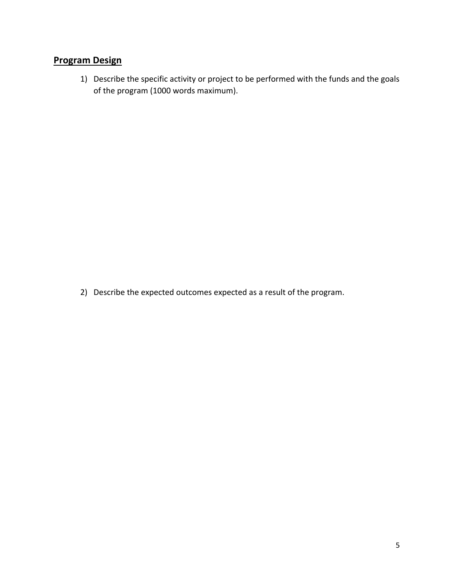# **Program Design**

1) Describe the specific activity or project to be performed with the funds and the goals of the program (1000 words maximum).

2) Describe the expected outcomes expected as a result of the program.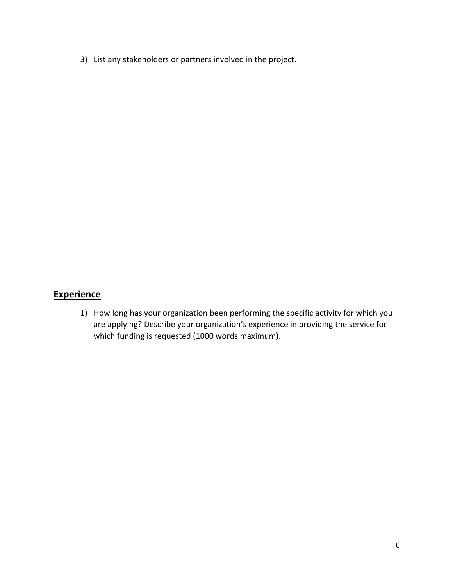3) List any stakeholders or partners involved in the project.

## **Experience**

1) How long has your organization been performing the specific activity for which you are applying? Describe your organization's experience in providing the service for which funding is requested (1000 words maximum).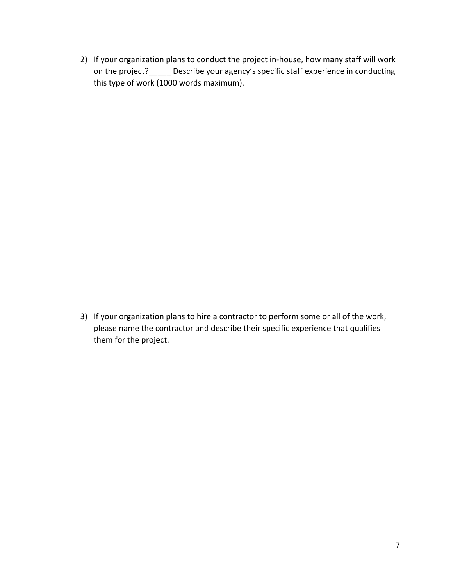2) If your organization plans to conduct the project in-house, how many staff will work on the project?\_\_\_\_\_ Describe your agency's specific staff experience in conducting this type of work (1000 words maximum).

3) If your organization plans to hire a contractor to perform some or all of the work, please name the contractor and describe their specific experience that qualifies them for the project.